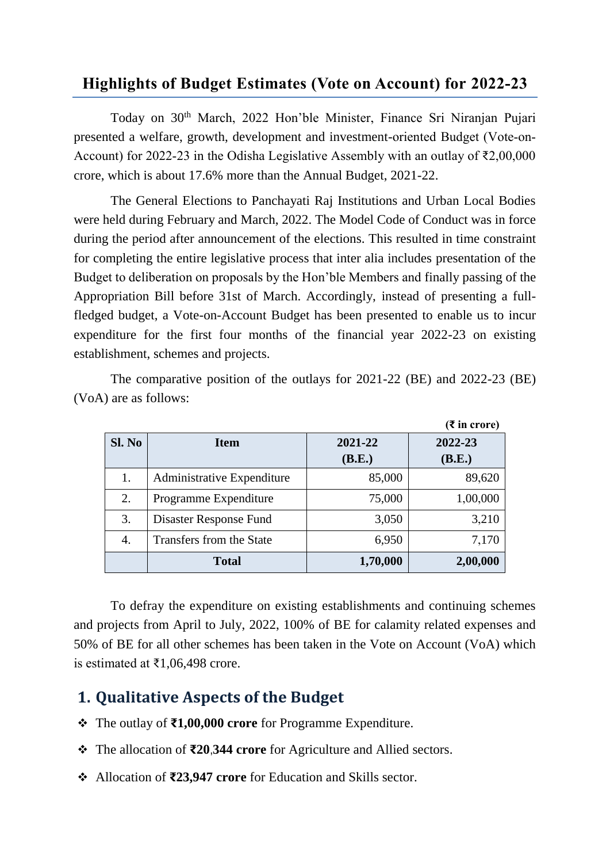#### **Highlights of Budget Estimates (Vote on Account) for 2022-23**

Today on 30th March, 2022 Hon'ble Minister, Finance Sri Niranjan Pujari presented a welfare, growth, development and investment-oriented Budget (Vote‐on‐ Account) for 2022-23 in the Odisha Legislative Assembly with an outlay of  $\bar{\tau}2,00,000$ crore, which is about 17.6% more than the Annual Budget, 2021-22.

The General Elections to Panchayati Raj Institutions and Urban Local Bodies were held during February and March, 2022. The Model Code of Conduct was in force during the period after announcement of the elections. This resulted in time constraint for completing the entire legislative process that inter alia includes presentation of the Budget to deliberation on proposals by the Hon'ble Members and finally passing of the Appropriation Bill before 31st of March. Accordingly, instead of presenting a fullfledged budget, a Vote-on-Account Budget has been presented to enable us to incur expenditure for the first four months of the financial year 2022-23 on existing establishment, schemes and projects.

|        |                            |          | $(3\overline{5})$ in crore) |
|--------|----------------------------|----------|-----------------------------|
| Sl. No | <b>Item</b>                | 2021-22  | 2022-23                     |
|        |                            | (B.E.)   | (B.E.)                      |
| 1.     | Administrative Expenditure | 85,000   | 89,620                      |
| 2.     | Programme Expenditure      | 75,000   | 1,00,000                    |
| 3.     | Disaster Response Fund     | 3,050    | 3,210                       |
| 4.     | Transfers from the State   | 6,950    | 7,170                       |
|        | <b>Total</b>               | 1,70,000 | 2,00,000                    |

The comparative position of the outlays for 2021-22 (BE) and 2022-23 (BE) (VoA) are as follows:

To defray the expenditure on existing establishments and continuing schemes and projects from April to July, 2022, 100% of BE for calamity related expenses and 50% of BE for all other schemes has been taken in the Vote on Account (VoA) which is estimated at ₹1,06,498 crore.

### **1. Qualitative Aspects of the Budget**

- The outlay of **₹1,00,000 crore** for Programme Expenditure.
- The allocation of **₹20**,**344 crore** for Agriculture and Allied sectors.
- Allocation of **₹23,947 crore** for Education and Skills sector.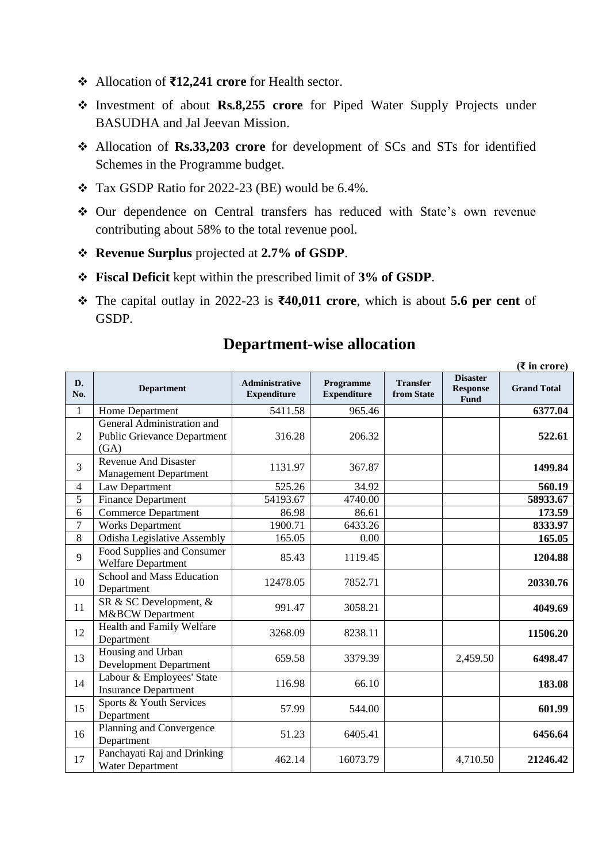- Allocation of **₹12,241 crore** for Health sector.
- Investment of about **Rs.8,255 crore** for Piped Water Supply Projects under BASUDHA and Jal Jeevan Mission.
- Allocation of **Rs.33,203 crore** for development of SCs and STs for identified Schemes in the Programme budget.
- Tax GSDP Ratio for 2022-23 (BE) would be 6.4%.
- Our dependence on Central transfers has reduced with State's own revenue contributing about 58% to the total revenue pool.
- **Revenue Surplus** projected at **2.7% of GSDP**.
- **Fiscal Deficit** kept within the prescribed limit of **3% of GSDP**.
- The capital outlay in 2022-23 is **₹40,011 crore**, which is about **5.6 per cent** of GSDP.

| D.<br>No.      | <b>Department</b>                                                        | <b>Administrative</b><br><b>Expenditure</b> | Programme<br><b>Expenditure</b> | <b>Transfer</b><br>from State | <b>Disaster</b><br><b>Response</b><br>Fund | <b>Grand Total</b> |
|----------------|--------------------------------------------------------------------------|---------------------------------------------|---------------------------------|-------------------------------|--------------------------------------------|--------------------|
| 1              | Home Department                                                          | 5411.58                                     | 965.46                          |                               |                                            | 6377.04            |
| $\overline{2}$ | General Administration and<br><b>Public Grievance Department</b><br>(GA) | 316.28                                      | 206.32                          |                               |                                            | 522.61             |
| 3              | <b>Revenue And Disaster</b><br><b>Management Department</b>              | 1131.97                                     | 367.87                          |                               |                                            | 1499.84            |
| $\overline{4}$ | Law Department                                                           | 525.26                                      | 34.92                           |                               |                                            | 560.19             |
| 5              | <b>Finance Department</b>                                                | 54193.67                                    | 4740.00                         |                               |                                            | 58933.67           |
| 6              | <b>Commerce Department</b>                                               | 86.98                                       | 86.61                           |                               |                                            | 173.59             |
| 7              | <b>Works Department</b>                                                  | 1900.71                                     | 6433.26                         |                               |                                            | 8333.97            |
| 8              | <b>Odisha Legislative Assembly</b>                                       | 165.05                                      | 0.00                            |                               |                                            | 165.05             |
| 9              | Food Supplies and Consumer<br><b>Welfare Department</b>                  | 85.43                                       | 1119.45                         |                               |                                            | 1204.88            |
| 10             | School and Mass Education<br>Department                                  | 12478.05                                    | 7852.71                         |                               |                                            | 20330.76           |
| 11             | SR & SC Development, &<br>M&BCW Department                               | 991.47                                      | 3058.21                         |                               |                                            | 4049.69            |
| 12             | Health and Family Welfare<br>Department                                  | 3268.09                                     | 8238.11                         |                               |                                            | 11506.20           |
| 13             | Housing and Urban<br><b>Development Department</b>                       | 659.58                                      | 3379.39                         |                               | 2,459.50                                   | 6498.47            |
| 14             | Labour & Employees' State<br><b>Insurance Department</b>                 | 116.98                                      | 66.10                           |                               |                                            | 183.08             |
| 15             | Sports & Youth Services<br>Department                                    | 57.99                                       | 544.00                          |                               |                                            | 601.99             |
| 16             | Planning and Convergence<br>Department                                   | 51.23                                       | 6405.41                         |                               |                                            | 6456.64            |
| 17             | Panchayati Raj and Drinking<br><b>Water Department</b>                   | 462.14                                      | 16073.79                        |                               | 4,710.50                                   | 21246.42           |

### **Department-wise allocation**

**(₹ in crore)**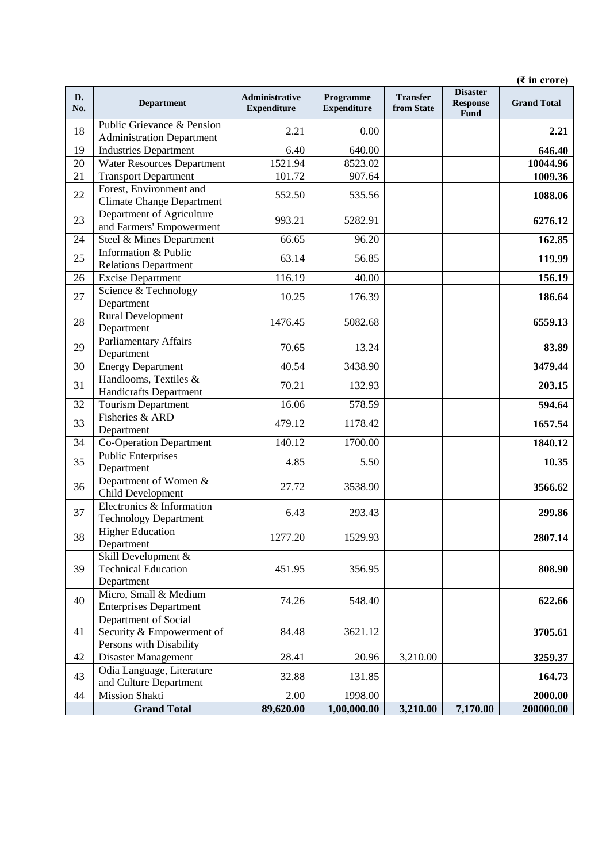|           |                                                                              |                                      |                                 |                               |                                            | $(3 \infty)$ in crore) |
|-----------|------------------------------------------------------------------------------|--------------------------------------|---------------------------------|-------------------------------|--------------------------------------------|------------------------|
| D.<br>No. | <b>Department</b>                                                            | Administrative<br><b>Expenditure</b> | Programme<br><b>Expenditure</b> | <b>Transfer</b><br>from State | <b>Disaster</b><br><b>Response</b><br>Fund | <b>Grand Total</b>     |
| 18        | Public Grievance & Pension<br><b>Administration Department</b>               | 2.21                                 | 0.00                            |                               |                                            | 2.21                   |
| 19        | <b>Industries Department</b>                                                 | 6.40                                 | 640.00                          |                               |                                            | 646.40                 |
| 20        | <b>Water Resources Department</b>                                            | 1521.94                              | 8523.02                         |                               |                                            | 10044.96               |
| 21        | <b>Transport Department</b>                                                  | 101.72                               | 907.64                          |                               |                                            | 1009.36                |
| 22        | Forest, Environment and<br><b>Climate Change Department</b>                  | 552.50                               | 535.56                          |                               |                                            | 1088.06                |
| 23        | Department of Agriculture<br>and Farmers' Empowerment                        | 993.21                               | 5282.91                         |                               |                                            | 6276.12                |
| 24        | Steel & Mines Department                                                     | 66.65                                | 96.20                           |                               |                                            | 162.85                 |
| 25        | Information & Public<br><b>Relations Department</b>                          | 63.14                                | 56.85                           |                               |                                            | 119.99                 |
| 26        | <b>Excise Department</b>                                                     | 116.19                               | 40.00                           |                               |                                            | 156.19                 |
| 27        | Science & Technology<br>Department                                           | 10.25                                | 176.39                          |                               |                                            | 186.64                 |
| 28        | <b>Rural Development</b><br>Department                                       | 1476.45                              | 5082.68                         |                               |                                            | 6559.13                |
| 29        | <b>Parliamentary Affairs</b><br>Department                                   | 70.65                                | 13.24                           |                               |                                            | 83.89                  |
| 30        | <b>Energy Department</b>                                                     | 40.54                                | 3438.90                         |                               |                                            | 3479.44                |
| 31        | Handlooms, Textiles &<br><b>Handicrafts Department</b>                       | 70.21                                | 132.93                          |                               |                                            | 203.15                 |
| 32        | <b>Tourism Department</b>                                                    | 16.06                                | 578.59                          |                               |                                            | 594.64                 |
| 33        | Fisheries & ARD<br>Department                                                | 479.12                               | 1178.42                         |                               |                                            | 1657.54                |
| 34        | <b>Co-Operation Department</b>                                               | 140.12                               | 1700.00                         |                               |                                            | 1840.12                |
| 35        | <b>Public Enterprises</b><br>Department                                      | 4.85                                 | 5.50                            |                               |                                            | 10.35                  |
| 36        | Department of Women &<br>Child Development                                   | 27.72                                | 3538.90                         |                               |                                            | 3566.62                |
| 37        | Electronics & Information<br><b>Technology Department</b>                    | 6.43                                 | 293.43                          |                               |                                            | 299.86                 |
| 38        | <b>Higher Education</b><br>Department                                        | 1277.20                              | 1529.93                         |                               |                                            | 2807.14                |
| 39        | Skill Development &<br><b>Technical Education</b><br>Department              | 451.95                               | 356.95                          |                               |                                            | 808.90                 |
| 40        | Micro, Small & Medium<br><b>Enterprises Department</b>                       | 74.26                                | 548.40                          |                               |                                            | 622.66                 |
| 41        | Department of Social<br>Security & Empowerment of<br>Persons with Disability | 84.48                                | 3621.12                         |                               |                                            | 3705.61                |
| 42        | Disaster Management                                                          | 28.41                                | 20.96                           | 3,210.00                      |                                            | 3259.37                |
| 43        | Odia Language, Literature<br>and Culture Department                          | 32.88                                | 131.85                          |                               |                                            | 164.73                 |
| 44        | Mission Shakti                                                               | 2.00                                 | 1998.00                         |                               |                                            | 2000.00                |
|           | <b>Grand Total</b>                                                           | 89,620.00                            | 1,00,000.00                     | 3,210.00                      | 7,170.00                                   | 200000.00              |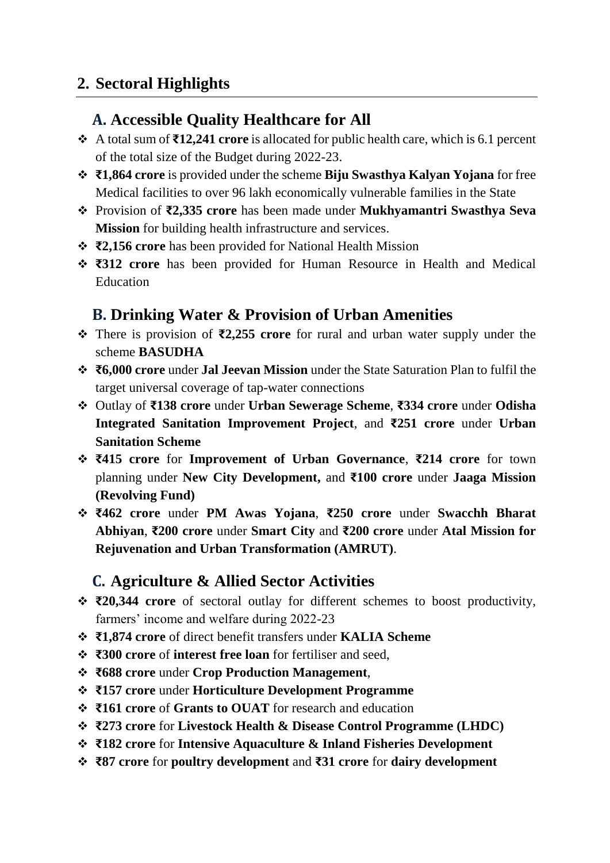### **2. Sectoral Highlights**

#### **A. Accessible Quality Healthcare for All**

- A total sum of **₹12,241 crore** is allocated for public health care, which is 6.1 percent of the total size of the Budget during 2022-23.
- **₹1,864 crore** is provided under the scheme **Biju Swasthya Kalyan Yojana** for free Medical facilities to over 96 lakh economically vulnerable families in the State
- Provision of **₹2,335 crore** has been made under **Mukhyamantri Swasthya Seva Mission** for building health infrastructure and services.
- **₹2,156 crore** has been provided for National Health Mission
- **₹312 crore** has been provided for Human Resource in Health and Medical **Education**

### **B. Drinking Water & Provision of Urban Amenities**

- There is provision of **₹2,255 crore** for rural and urban water supply under the scheme **BASUDHA**
- **₹6,000 crore** under **Jal Jeevan Mission** under the State Saturation Plan to fulfil the target universal coverage of tap-water connections
- Outlay of **₹138 crore** under **Urban Sewerage Scheme**, **₹334 crore** under **Odisha Integrated Sanitation Improvement Project**, and **₹251 crore** under **Urban Sanitation Scheme**
- **₹415 crore** for **Improvement of Urban Governance**, **₹214 crore** for town planning under **New City Development,** and **₹100 crore** under **Jaaga Mission (Revolving Fund)**
- **₹462 crore** under **PM Awas Yojana**, **₹250 crore** under **Swacchh Bharat Abhiyan**, **₹200 crore** under **Smart City** and **₹200 crore** under **Atal Mission for Rejuvenation and Urban Transformation (AMRUT)**.

### **C. Agriculture & Allied Sector Activities**

- **₹20,344 crore** of sectoral outlay for different schemes to boost productivity, farmers' income and welfare during 2022-23
- **₹1,874 crore** of direct benefit transfers under **KALIA Scheme**
- **₹300 crore** of **interest free loan** for fertiliser and seed,
- **₹688 crore** under **Crop Production Management**,
- **₹157 crore** under **Horticulture Development Programme**
- **₹161 crore** of **Grants to OUAT** for research and education
- **₹273 crore** for **Livestock Health & Disease Control Programme (LHDC)**
- **₹182 crore** for **Intensive Aquaculture & Inland Fisheries Development**
- **₹87 crore** for **poultry development** and **₹31 crore** for **dairy development**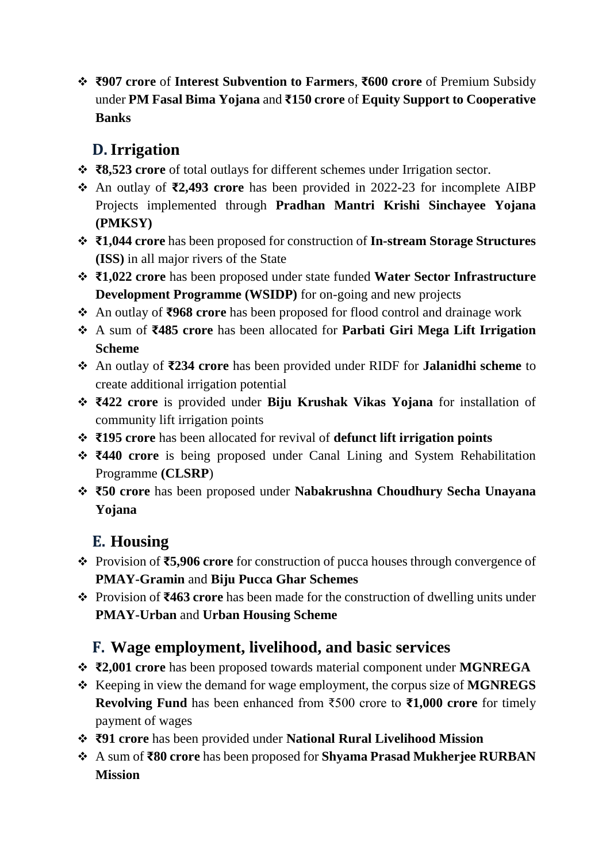**₹907 crore** of **Interest Subvention to Farmers**, **₹600 crore** of Premium Subsidy under **PM Fasal Bima Yojana** and **₹150 crore** of **Equity Support to Cooperative Banks**

## **D.Irrigation**

- **₹8,523 crore** of total outlays for different schemes under Irrigation sector.
- An outlay of **₹2,493 crore** has been provided in 2022-23 for incomplete AIBP Projects implemented through **Pradhan Mantri Krishi Sinchayee Yojana (PMKSY)**
- **₹1,044 crore** has been proposed for construction of **In-stream Storage Structures (ISS)** in all major rivers of the State
- **₹1,022 crore** has been proposed under state funded **Water Sector Infrastructure Development Programme (WSIDP)** for on-going and new projects
- An outlay of **₹968 crore** has been proposed for flood control and drainage work
- A sum of **₹485 crore** has been allocated for **Parbati Giri Mega Lift Irrigation Scheme**
- An outlay of **₹234 crore** has been provided under RIDF for **Jalanidhi scheme** to create additional irrigation potential
- **₹422 crore** is provided under **Biju Krushak Vikas Yojana** for installation of community lift irrigation points
- **₹195 crore** has been allocated for revival of **defunct lift irrigation points**
- **₹440 crore** is being proposed under Canal Lining and System Rehabilitation Programme **(CLSRP**)
- **₹50 crore** has been proposed under **Nabakrushna Choudhury Secha Unayana Yojana**

# **E. Housing**

- Provision of **₹5,906 crore** for construction of pucca houses through convergence of **PMAY-Gramin** and **Biju Pucca Ghar Schemes**
- Provision of **₹463 crore** has been made for the construction of dwelling units under **PMAY-Urban** and **Urban Housing Scheme**

## **F. Wage employment, livelihood, and basic services**

- **₹2,001 crore** has been proposed towards material component under **MGNREGA**
- \* Keeping in view the demand for wage employment, the corpus size of **MGNREGS Revolving Fund** has been enhanced from ₹500 crore to **₹1,000 crore** for timely payment of wages
- **₹91 crore** has been provided under **National Rural Livelihood Mission**
- A sum of **₹80 crore** has been proposed for **Shyama Prasad Mukherjee RURBAN Mission**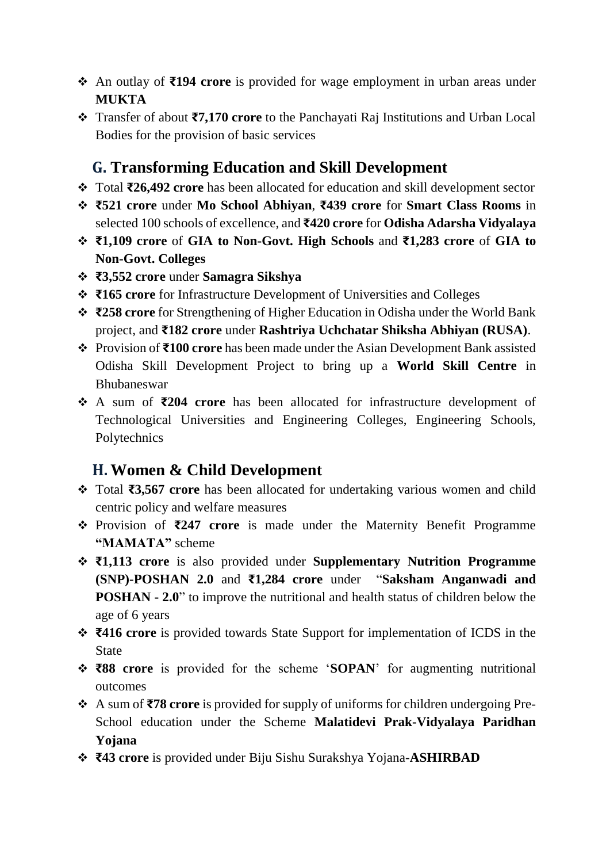- An outlay of **₹194 crore** is provided for wage employment in urban areas under **MUKTA**
- Transfer of about **₹7,170 crore** to the Panchayati Raj Institutions and Urban Local Bodies for the provision of basic services

### **G. Transforming Education and Skill Development**

- Total **₹26,492 crore** has been allocated for education and skill development sector
- **₹521 crore** under **Mo School Abhiyan**, **₹439 crore** for **Smart Class Rooms** in selected 100 schools of excellence, and **₹420 crore** for **Odisha Adarsha Vidyalaya**
- **₹1,109 crore** of **GIA to Non-Govt. High Schools** and **₹1,283 crore** of **GIA to Non-Govt. Colleges**
- **₹3,552 crore** under **Samagra Sikshya**
- **₹165 crore** for Infrastructure Development of Universities and Colleges
- **₹258 crore** for Strengthening of Higher Education in Odisha under the World Bank project, and **₹182 crore** under **Rashtriya Uchchatar Shiksha Abhiyan (RUSA)**.
- Provision of **₹100 crore** has been made under the Asian Development Bank assisted Odisha Skill Development Project to bring up a **World Skill Centre** in Bhubaneswar
- A sum of **₹204 crore** has been allocated for infrastructure development of Technological Universities and Engineering Colleges, Engineering Schools, Polytechnics

#### **H. Women & Child Development**

- Total **₹3,567 crore** has been allocated for undertaking various women and child centric policy and welfare measures
- Provision of **₹247 crore** is made under the Maternity Benefit Programme **"MAMATA"** scheme
- **₹1,113 crore** is also provided under **Supplementary Nutrition Programme (SNP)-POSHAN 2.0** and **₹1,284 crore** under "**Saksham Anganwadi and POSHAN - 2.0**" to improve the nutritional and health status of children below the age of 6 years
- **₹416 crore** is provided towards State Support for implementation of ICDS in the State
- **₹88 crore** is provided for the scheme '**SOPAN**' for augmenting nutritional outcomes
- A sum of **₹78 crore** is provided for supply of uniforms for children undergoing Pre-School education under the Scheme **Malatidevi Prak-Vidyalaya Paridhan Yojana**
- **₹43 crore** is provided under Biju Sishu Surakshya Yojana-**ASHIRBAD**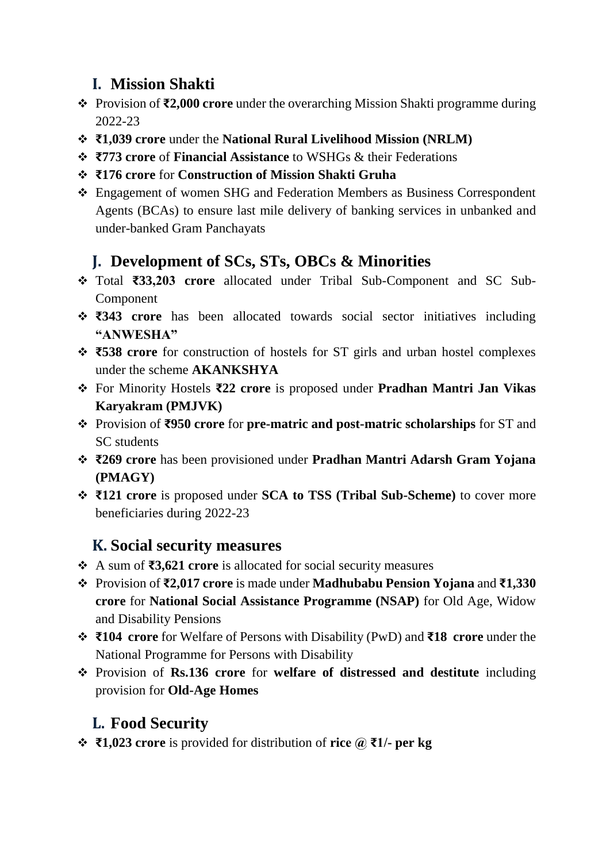## **I. Mission Shakti**

- Provision of **₹2,000 crore** under the overarching Mission Shakti programme during 2022-23
- **₹1,039 crore** under the **National Rural Livelihood Mission (NRLM)**
- **₹773 crore** of **Financial Assistance** to WSHGs & their Federations
- **₹176 crore** for **Construction of Mission Shakti Gruha**
- Engagement of women SHG and Federation Members as Business Correspondent Agents (BCAs) to ensure last mile delivery of banking services in unbanked and under-banked Gram Panchayats

### **J. Development of SCs, STs, OBCs & Minorities**

- Total **₹33,203 crore** allocated under Tribal Sub-Component and SC Sub-Component
- **₹343 crore** has been allocated towards social sector initiatives including **"ANWESHA"**
- **₹538 crore** for construction of hostels for ST girls and urban hostel complexes under the scheme **AKANKSHYA**
- For Minority Hostels **₹22 crore** is proposed under **Pradhan Mantri Jan Vikas Karyakram (PMJVK)**
- Provision of **₹950 crore** for **pre-matric and post-matric scholarships** for ST and SC students
- **₹269 crore** has been provisioned under **Pradhan Mantri Adarsh Gram Yojana (PMAGY)**
- **₹121 crore** is proposed under **SCA to TSS (Tribal Sub-Scheme)** to cover more beneficiaries during 2022-23

### **K. Social security measures**

- A sum of **₹3,621 crore** is allocated for social security measures
- Provision of **₹2,017 crore** is made under **Madhubabu Pension Yojana** and **₹1,330 crore** for **National Social Assistance Programme (NSAP)** for Old Age, Widow and Disability Pensions
- **₹104 crore** for Welfare of Persons with Disability (PwD) and **₹18 crore** under the National Programme for Persons with Disability
- Provision of **Rs.136 crore** for **welfare of distressed and destitute** including provision for **Old-Age Homes**

### **L. Food Security**

**₹1,023 crore** is provided for distribution of **rice @ ₹1/- per kg**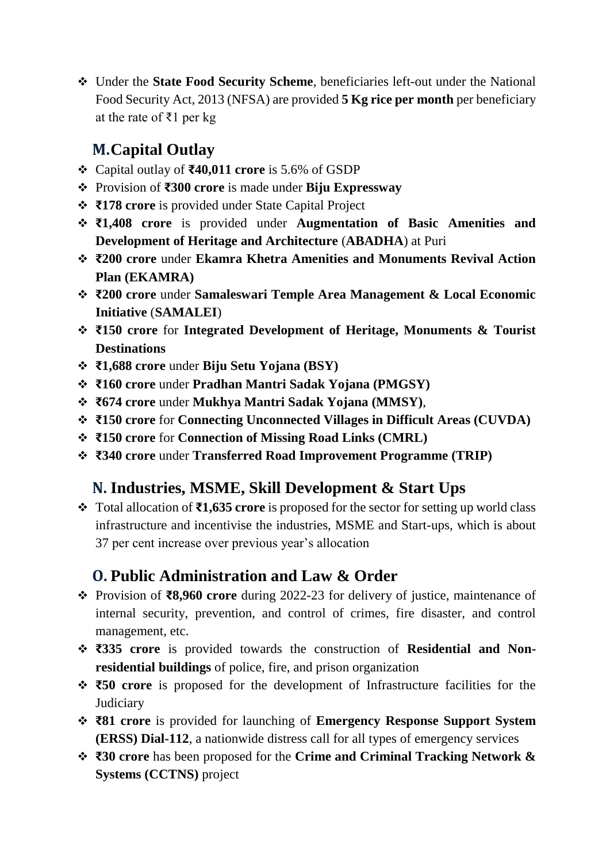Under the **State Food Security Scheme**, beneficiaries left-out under the National Food Security Act, 2013 (NFSA) are provided **5 Kg rice per month** per beneficiary at the rate of ₹1 per kg

## **M.Capital Outlay**

- Capital outlay of **₹40,011 crore** is 5.6% of GSDP
- Provision of **₹300 crore** is made under **Biju Expressway**
- **₹178 crore** is provided under State Capital Project
- **₹1,408 crore** is provided under **Augmentation of Basic Amenities and Development of Heritage and Architecture** (**ABADHA**) at Puri
- **₹200 crore** under **Ekamra Khetra Amenities and Monuments Revival Action Plan (EKAMRA)**
- **₹200 crore** under **Samaleswari Temple Area Management & Local Economic Initiative** (**SAMALEI**)
- **₹150 crore** for **Integrated Development of Heritage, Monuments & Tourist Destinations**
- **₹1,688 crore** under **Biju Setu Yojana (BSY)**
- **₹160 crore** under **Pradhan Mantri Sadak Yojana (PMGSY)**
- **₹674 crore** under **Mukhya Mantri Sadak Yojana (MMSY)**,
- **₹150 crore** for **Connecting Unconnected Villages in Difficult Areas (CUVDA)**
- **₹150 crore** for **Connection of Missing Road Links (CMRL)**
- **₹340 crore** under **Transferred Road Improvement Programme (TRIP)**

### **N. Industries, MSME, Skill Development & Start Ups**

 Total allocation of **₹1,635 crore** is proposed for the sector for setting up world class infrastructure and incentivise the industries, MSME and Start-ups, which is about 37 per cent increase over previous year's allocation

## **O. Public Administration and Law & Order**

- Provision of **₹8,960 crore** during 2022-23 for delivery of justice, maintenance of internal security, prevention, and control of crimes, fire disaster, and control management, etc.
- **₹335 crore** is provided towards the construction of **Residential and Nonresidential buildings** of police, fire, and prison organization
- **₹50 crore** is proposed for the development of Infrastructure facilities for the **Judiciary**
- **₹81 crore** is provided for launching of **Emergency Response Support System (ERSS) Dial-112**, a nationwide distress call for all types of emergency services
- **₹30 crore** has been proposed for the **Crime and Criminal Tracking Network & Systems (CCTNS)** project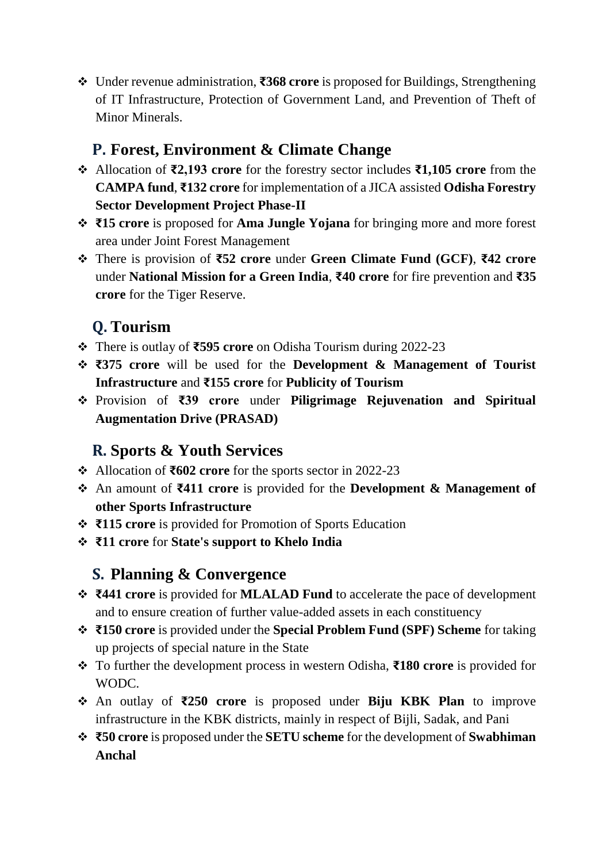Under revenue administration, **₹368 crore** is proposed for Buildings, Strengthening of IT Infrastructure, Protection of Government Land, and Prevention of Theft of Minor Minerals.

### **P. Forest, Environment & Climate Change**

- Allocation of **₹2,193 crore** for the forestry sector includes **₹1,105 crore** from the **CAMPA fund**, **₹132 crore** for implementation of a JICA assisted **Odisha Forestry Sector Development Project Phase-II**
- **₹15 crore** is proposed for **Ama Jungle Yojana** for bringing more and more forest area under Joint Forest Management
- There is provision of **₹52 crore** under **Green Climate Fund (GCF)**, **₹42 crore** under **National Mission for a Green India**, **₹40 crore** for fire prevention and **₹35 crore** for the Tiger Reserve.

# **Q. Tourism**

- There is outlay of **₹595 crore** on Odisha Tourism during 2022-23
- **₹375 crore** will be used for the **Development & Management of Tourist Infrastructure** and **₹155 crore** for **Publicity of Tourism**
- Provision of **₹39 crore** under **Piligrimage Rejuvenation and Spiritual Augmentation Drive (PRASAD)**

## **R. Sports & Youth Services**

- Allocation of **₹602 crore** for the sports sector in 2022-23
- An amount of **₹411 crore** is provided for the **Development & Management of other Sports Infrastructure**
- **₹115 crore** is provided for Promotion of Sports Education
- **₹11 crore** for **State's support to Khelo India**

## **S. Planning & Convergence**

- **₹441 crore** is provided for **MLALAD Fund** to accelerate the pace of development and to ensure creation of further value-added assets in each constituency
- **₹150 crore** is provided under the **Special Problem Fund (SPF) Scheme** for taking up projects of special nature in the State
- To further the development process in western Odisha, **₹180 crore** is provided for WODC.
- An outlay of **₹250 crore** is proposed under **Biju KBK Plan** to improve infrastructure in the KBK districts, mainly in respect of Bijli, Sadak, and Pani
- **₹50 crore** is proposed under the **SETU scheme** for the development of **Swabhiman Anchal**